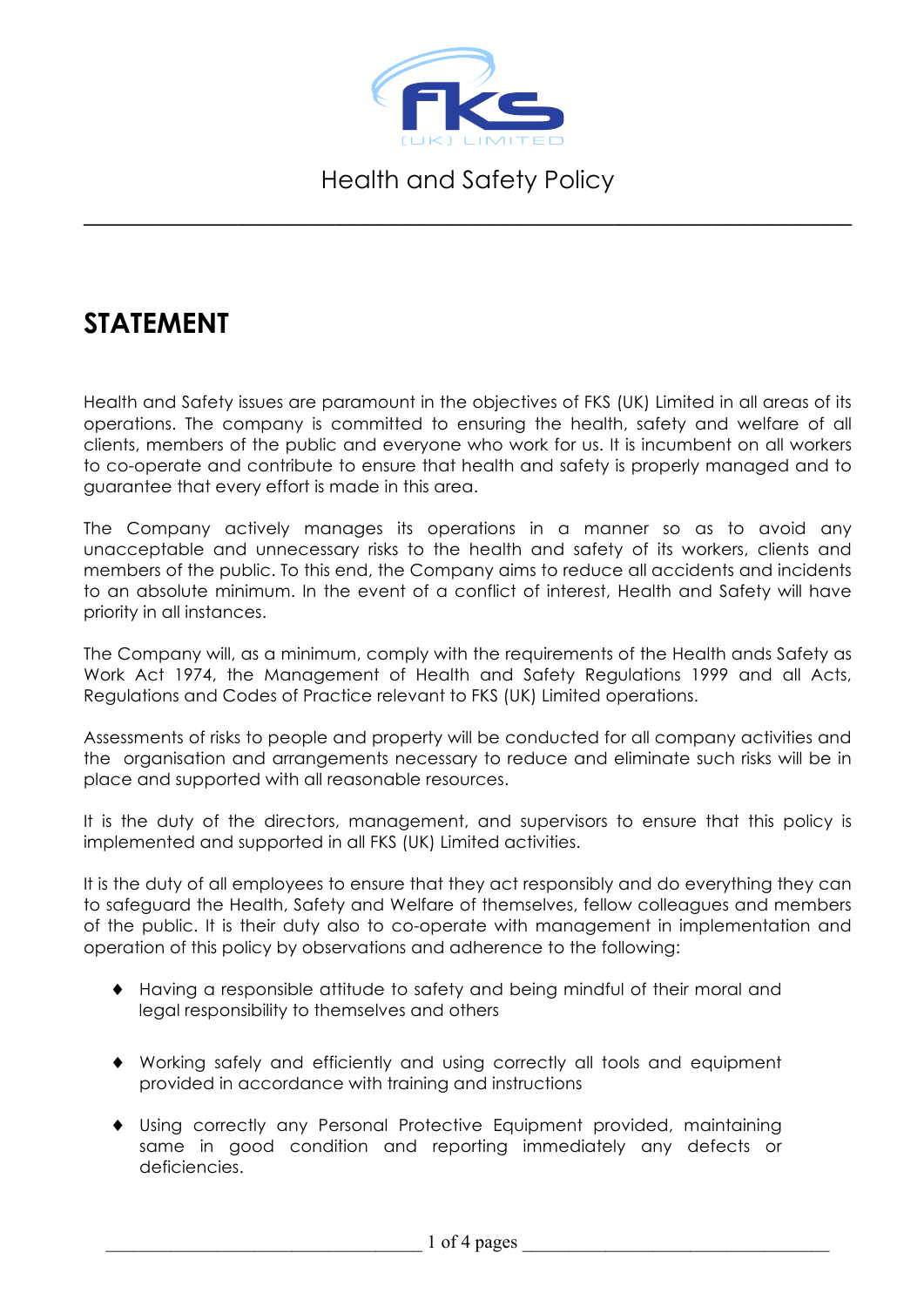

\_\_\_\_\_\_\_\_\_\_\_\_\_\_\_\_\_\_\_\_\_\_\_\_\_\_\_\_\_\_\_\_\_\_\_\_\_\_\_\_\_\_\_\_\_\_\_\_\_\_\_\_\_\_\_

## **STATEMENT**

Health and Safety issues are paramount in the objectives of FKS (UK) Limited in all areas of its operations. The company is committed to ensuring the health, safety and welfare of all clients, members of the public and everyone who work for us. It is incumbent on all workers to co-operate and contribute to ensure that health and safety is properly managed and to guarantee that every effort is made in this area.

The Company actively manages its operations in a manner so as to avoid any unacceptable and unnecessary risks to the health and safety of its workers, clients and members of the public. To this end, the Company aims to reduce all accidents and incidents to an absolute minimum. In the event of a conflict of interest, Health and Safety will have priority in all instances.

The Company will, as a minimum, comply with the requirements of the Health ands Safety as Work Act 1974, the Management of Health and Safety Regulations 1999 and all Acts, Regulations and Codes of Practice relevant to FKS (UK) Limited operations.

Assessments of risks to people and property will be conducted for all company activities and the organisation and arrangements necessary to reduce and eliminate such risks will be in place and supported with all reasonable resources.

It is the duty of the directors, management, and supervisors to ensure that this policy is implemented and supported in all FKS (UK) Limited activities.

It is the duty of all employees to ensure that they act responsibly and do everything they can to safeguard the Health, Safety and Welfare of themselves, fellow colleagues and members of the public. It is their duty also to co-operate with management in implementation and operation of this policy by observations and adherence to the following:

- ♦ Having a responsible attitude to safety and being mindful of their moral and legal responsibility to themselves and others
- ♦ Working safely and efficiently and using correctly all tools and equipment provided in accordance with training and instructions
- ♦ Using correctly any Personal Protective Equipment provided, maintaining same in good condition and reporting immediately any defects or deficiencies.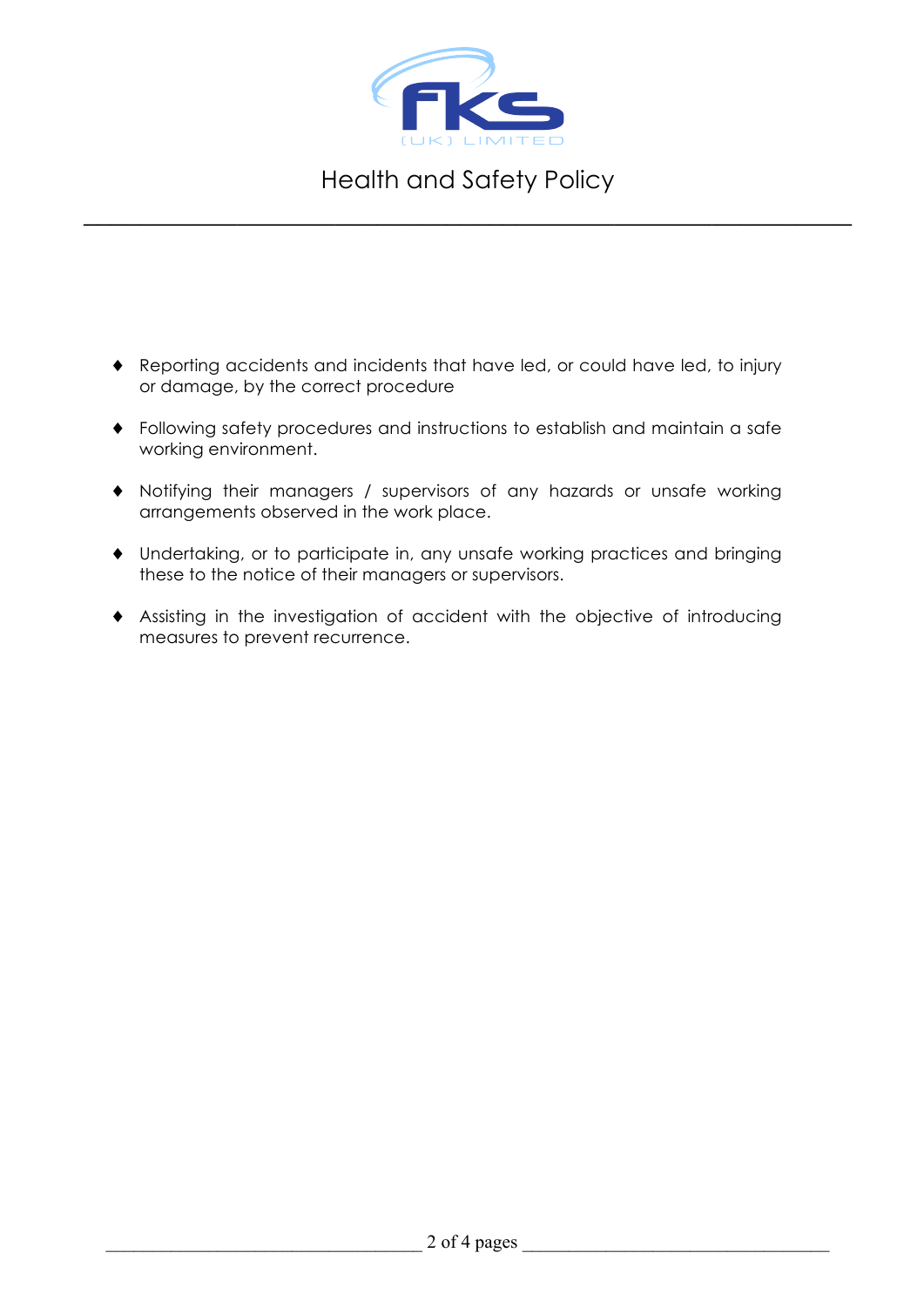

\_\_\_\_\_\_\_\_\_\_\_\_\_\_\_\_\_\_\_\_\_\_\_\_\_\_\_\_\_\_\_\_\_\_\_\_\_\_\_\_\_\_\_\_\_\_\_\_\_\_\_\_\_\_\_

- ♦ Reporting accidents and incidents that have led, or could have led, to injury or damage, by the correct procedure
- ♦ Following safety procedures and instructions to establish and maintain a safe working environment.
- ♦ Notifying their managers / supervisors of any hazards or unsafe working arrangements observed in the work place.
- ♦ Undertaking, or to participate in, any unsafe working practices and bringing these to the notice of their managers or supervisors.
- ♦ Assisting in the investigation of accident with the objective of introducing measures to prevent recurrence.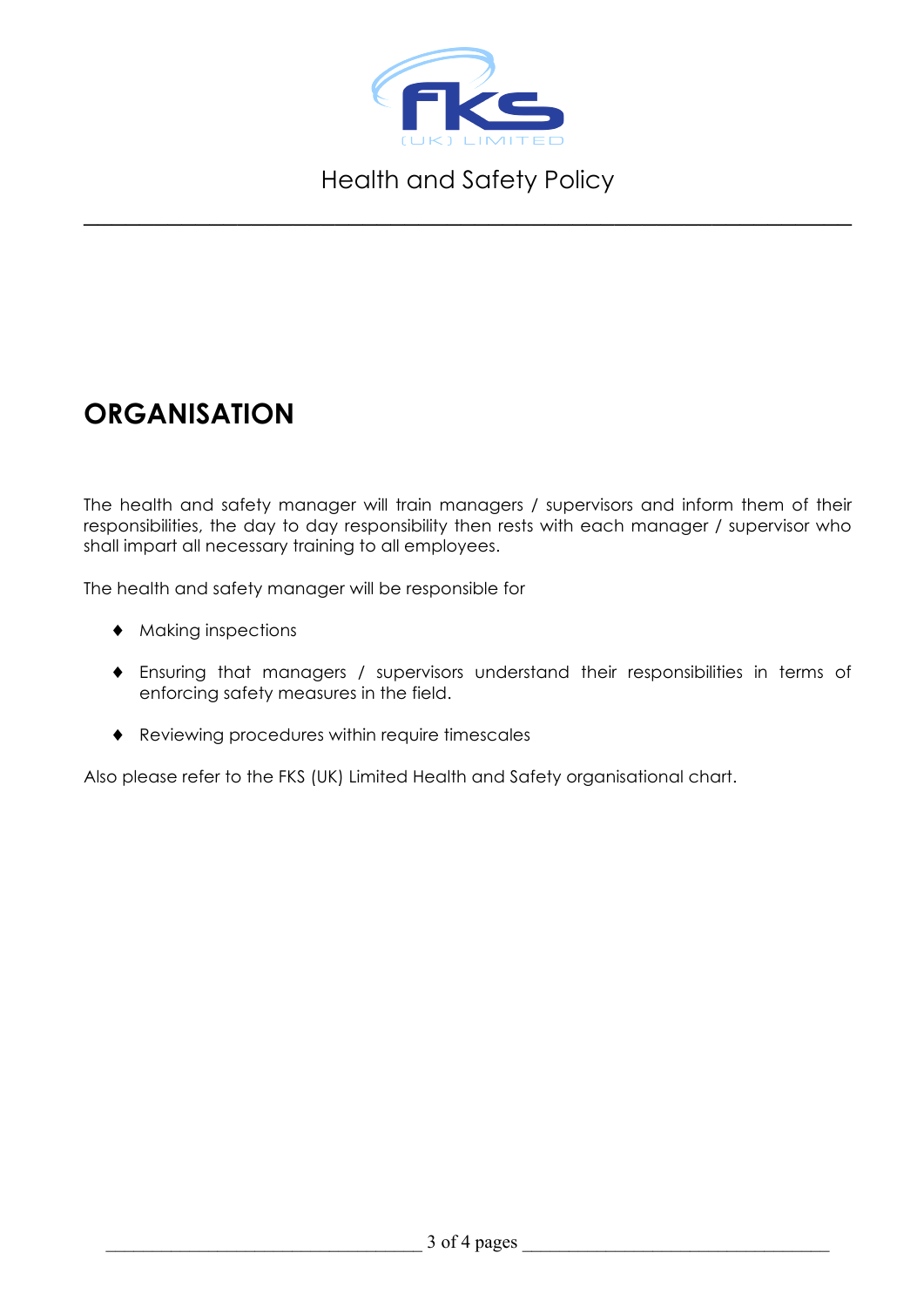

\_\_\_\_\_\_\_\_\_\_\_\_\_\_\_\_\_\_\_\_\_\_\_\_\_\_\_\_\_\_\_\_\_\_\_\_\_\_\_\_\_\_\_\_\_\_\_\_\_\_\_\_\_\_\_

## **ORGANISATION**

The health and safety manager will train managers / supervisors and inform them of their responsibilities, the day to day responsibility then rests with each manager / supervisor who shall impart all necessary training to all employees.

The health and safety manager will be responsible for

- ♦ Making inspections
- ♦ Ensuring that managers / supervisors understand their responsibilities in terms of enforcing safety measures in the field.
- ♦ Reviewing procedures within require timescales

Also please refer to the FKS (UK) Limited Health and Safety organisational chart.